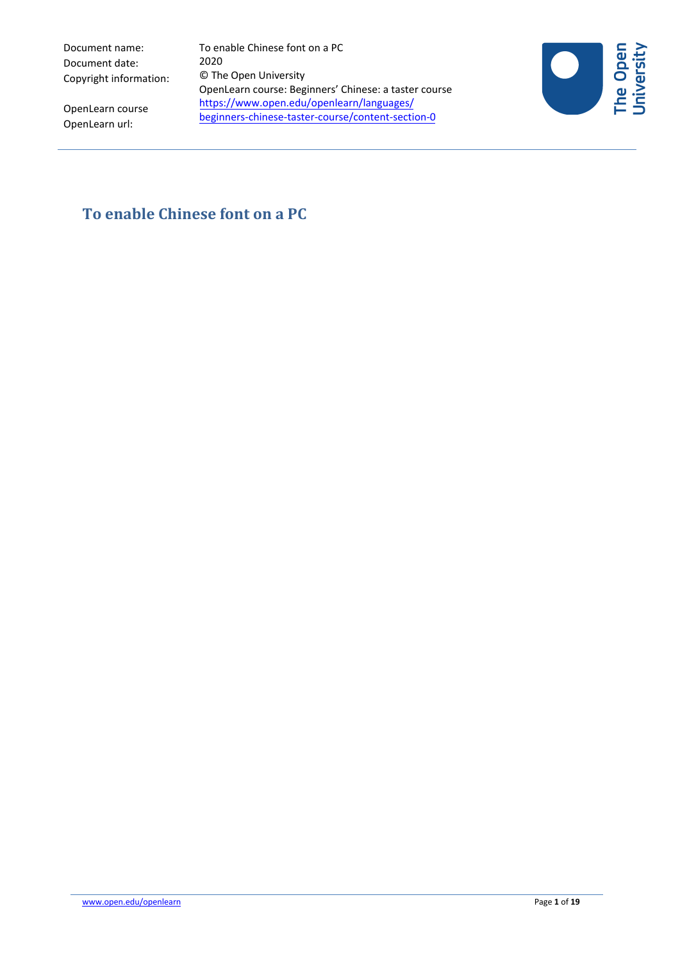Document name: Document date: Copyright information: To enable Chinese font on a PC 2020 © The Open University OpenLearn course: Beginners' Chinese: a taster course https://www.open.edu/openlearn/languages/ [beginners-chinese-taster-course/content-section-0](https://www.open.edu/openlearn/languages/beginners-chinese-taster-course/content-section-0?active-tab=description-tab) 



OpenLearn course OpenLearn url:

# **To enable Chinese font on a PC**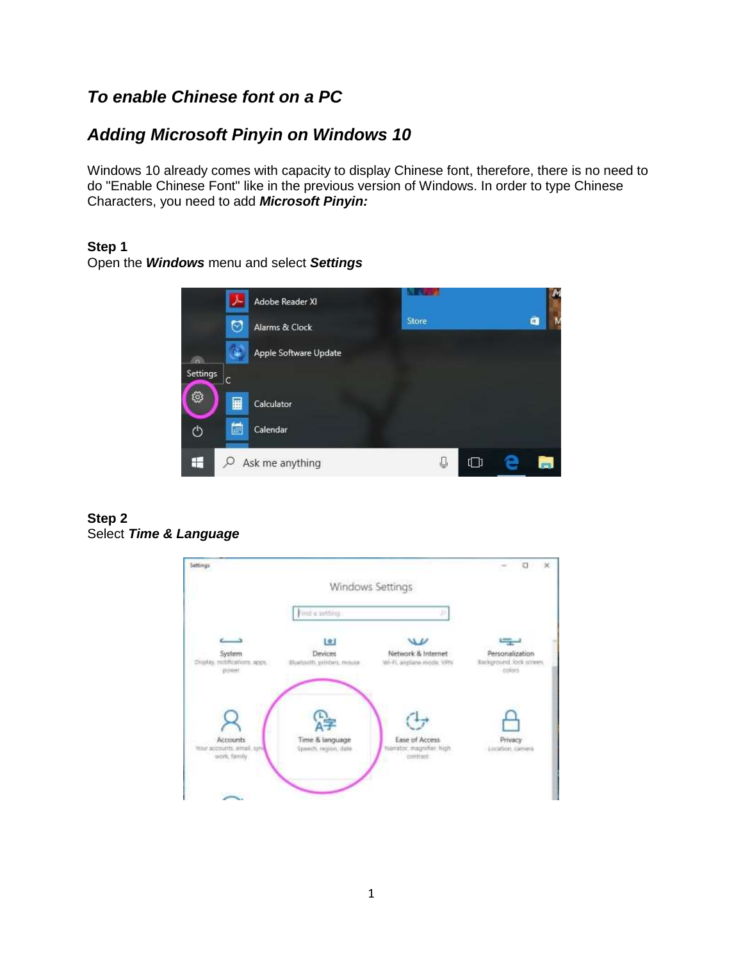# *To enable Chinese font on a PC*

# *Adding Microsoft Pinyin on Windows 10*

Windows 10 already comes with capacity to display Chinese font, therefore, there is no need to do "Enable Chinese Font" like in the previous version of Windows. In order to type Chinese Characters, you need to add *Microsoft Pinyin:*

#### **Step 1**

Open the *Windows* menu and select *Settings*



#### **Step 2** Select *Time & Language*

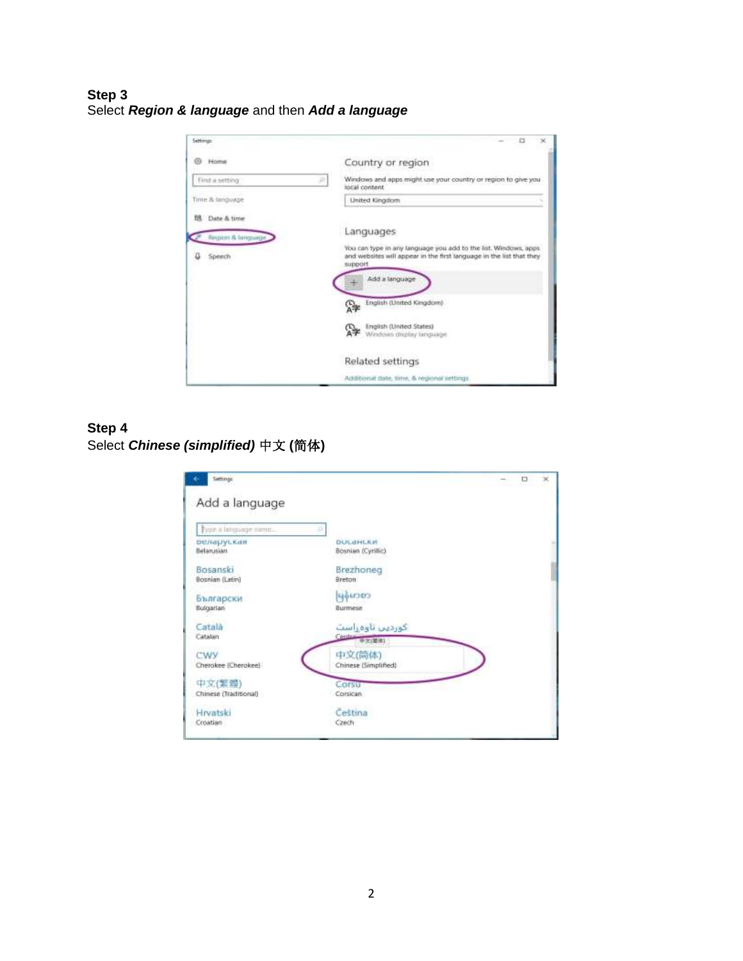### **Step 3** Select *Region & language* and then *Add a language*



## **Step 4** Select *Chinese (simplified)* 中文 **(**简体**)**

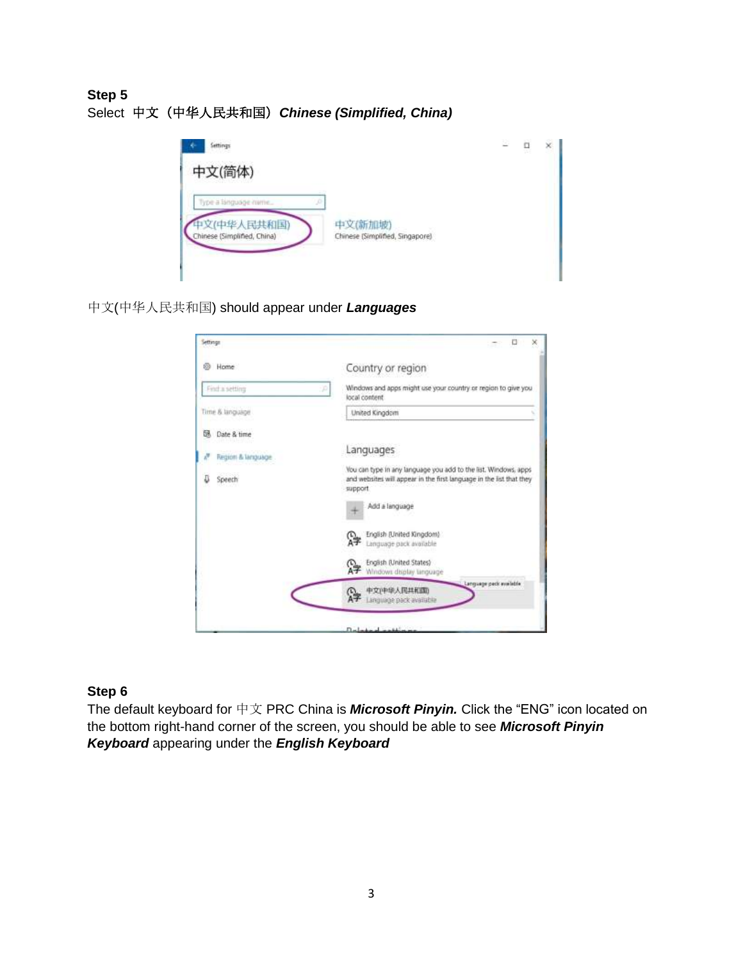# **Step 5** Select 中文(中华人民共和国)*Chinese (Simplified, China)*



中文(中华人民共和国) should appear under *Languages*



## **Step 6**

The default keyboard for 中文 PRC China is *Microsoft Pinyin.* Click the "ENG" icon located on the bottom right-hand corner of the screen, you should be able to see *Microsoft Pinyin Keyboard* appearing under the *English Keyboard*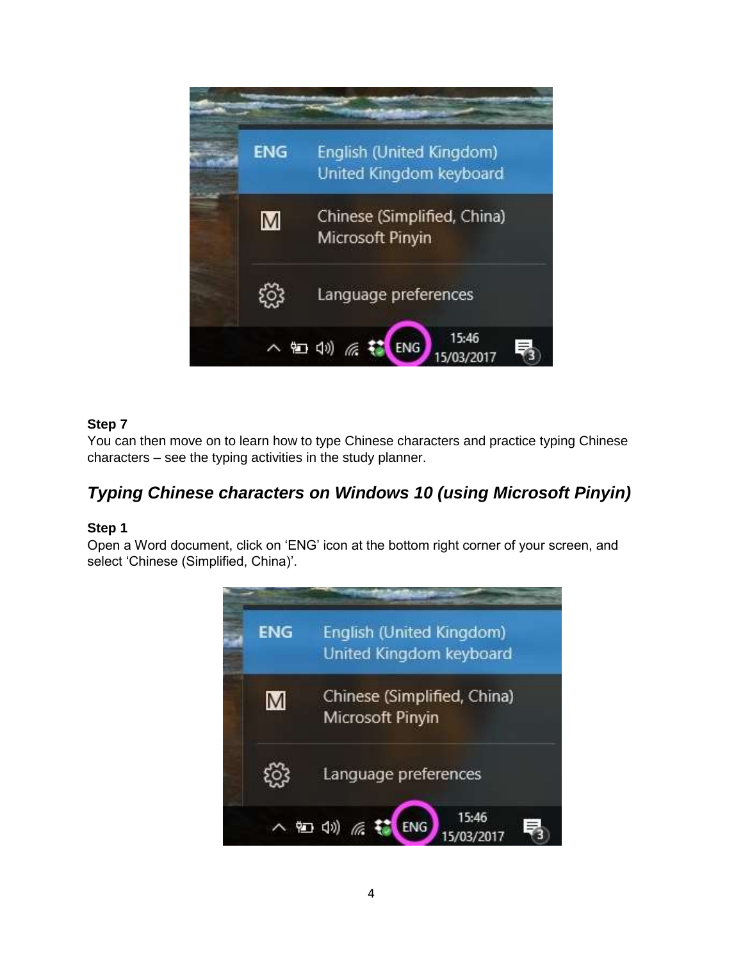

You can then move on to learn how to type Chinese characters and practice typing Chinese characters – see the typing activities in the study planner.

# *Typing Chinese characters on Windows 10 (using Microsoft Pinyin)*

## **Step 1**

Open a Word document, click on 'ENG' icon at the bottom right corner of your screen, and select 'Chinese (Simplified, China)'.

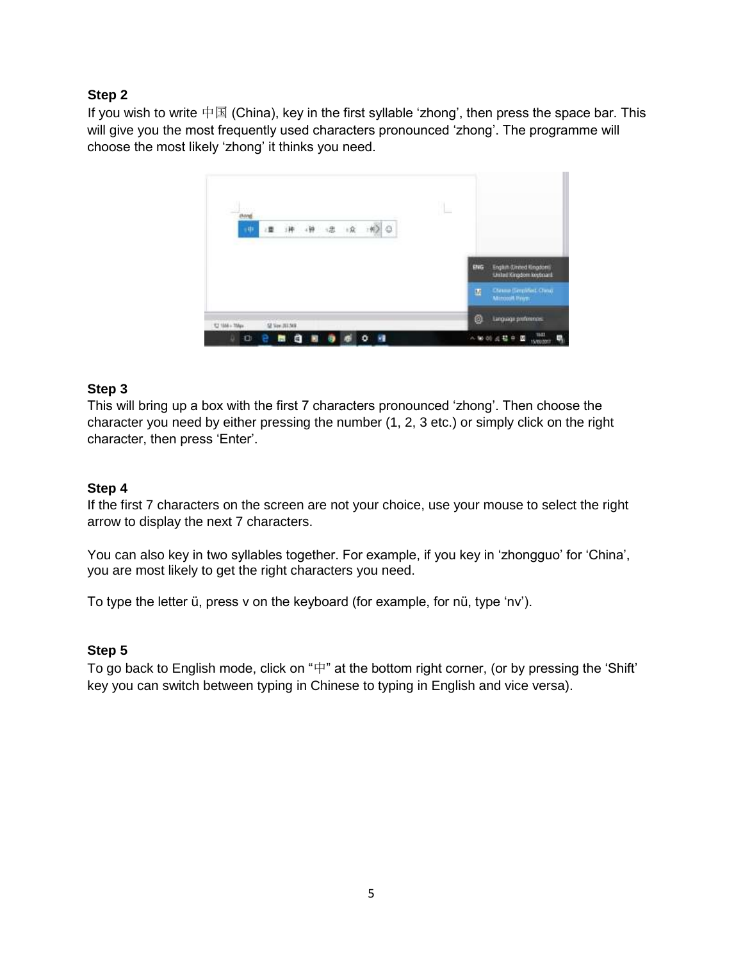If you wish to write  $\dagger \boxtimes$  (China), key in the first syllable 'zhong', then press the space bar. This will give you the most frequently used characters pronounced 'zhong'. The programme will choose the most likely 'zhong' it thinks you need.



## **Step 3**

This will bring up a box with the first 7 characters pronounced 'zhong'. Then choose the character you need by either pressing the number (1, 2, 3 etc.) or simply click on the right character, then press 'Enter'.

#### **Step 4**

If the first 7 characters on the screen are not your choice, use your mouse to select the right arrow to display the next 7 characters.

You can also key in two syllables together. For example, if you key in 'zhongguo' for 'China', you are most likely to get the right characters you need.

To type the letter ü, press v on the keyboard (for example, for nü, type 'nv').

#### **Step 5**

To go back to English mode, click on "中" at the bottom right corner, (or by pressing the 'Shift' key you can switch between typing in Chinese to typing in English and vice versa).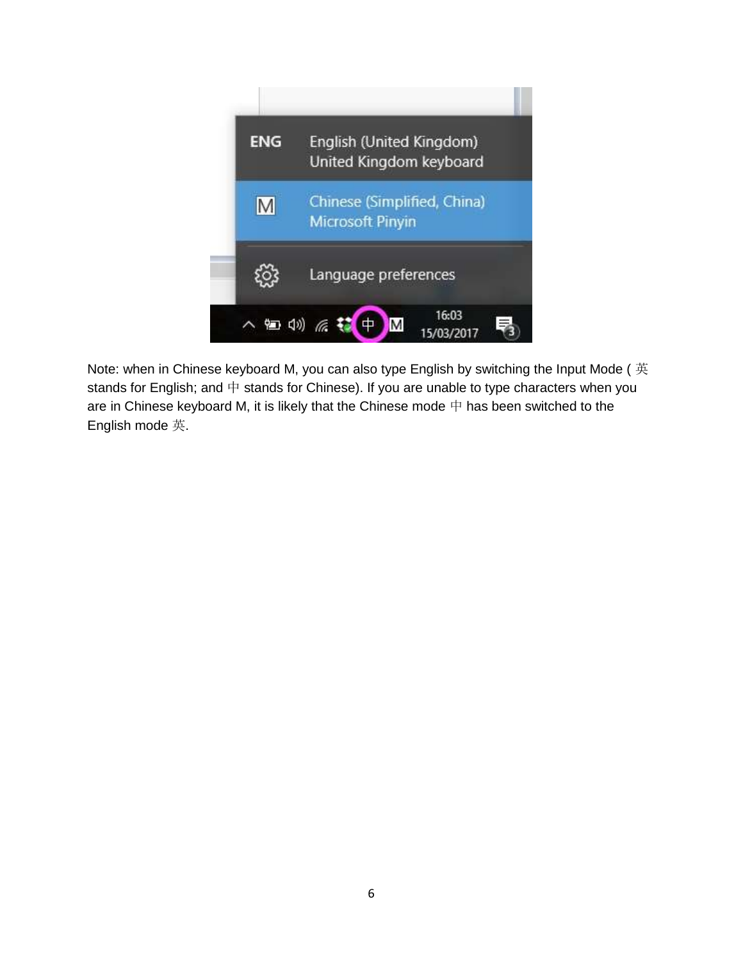

Note: when in Chinese keyboard M, you can also type English by switching the Input Mode ( 英 stands for English; and  $\#$  stands for Chinese). If you are unable to type characters when you are in Chinese keyboard M, it is likely that the Chinese mode  $\#$  has been switched to the English mode 英.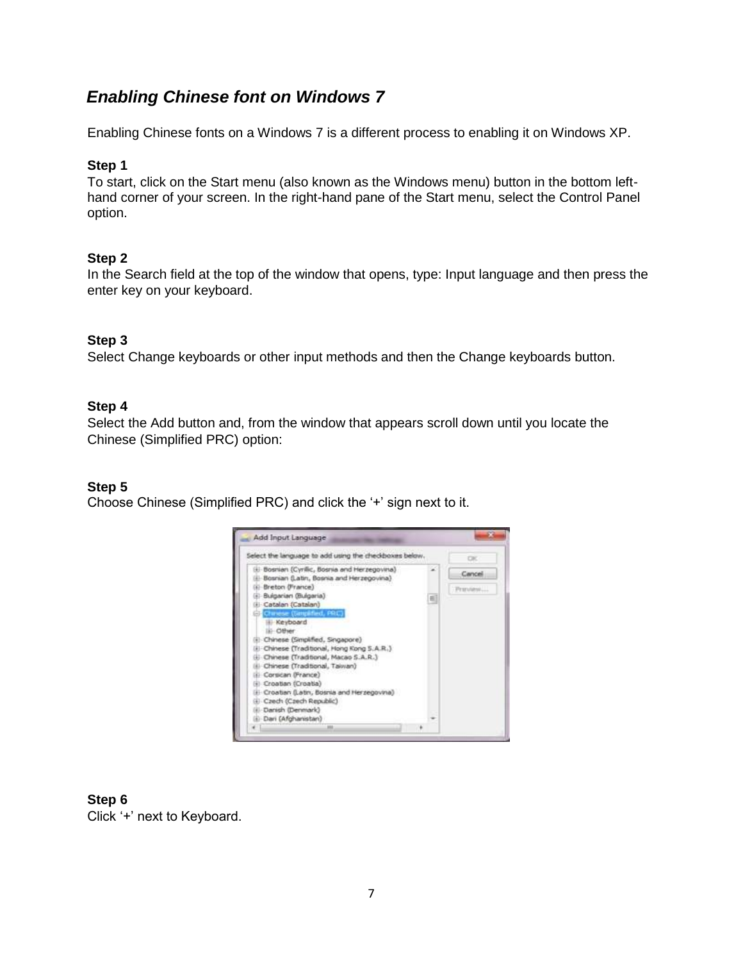# *Enabling Chinese font on Windows 7*

Enabling Chinese fonts on a Windows 7 is a different process to enabling it on Windows XP.

#### **Step 1**

To start, click on the Start menu (also known as the Windows menu) button in the bottom lefthand corner of your screen. In the right-hand pane of the Start menu, select the Control Panel option.

#### **Step 2**

In the Search field at the top of the window that opens, type: Input language and then press the enter key on your keyboard.

#### **Step 3**

Select Change keyboards or other input methods and then the Change keyboards button.

#### **Step 4**

Select the Add button and, from the window that appears scroll down until you locate the Chinese (Simplified PRC) option:

#### **Step 5**

Choose Chinese (Simplified PRC) and click the '+' sign next to it.



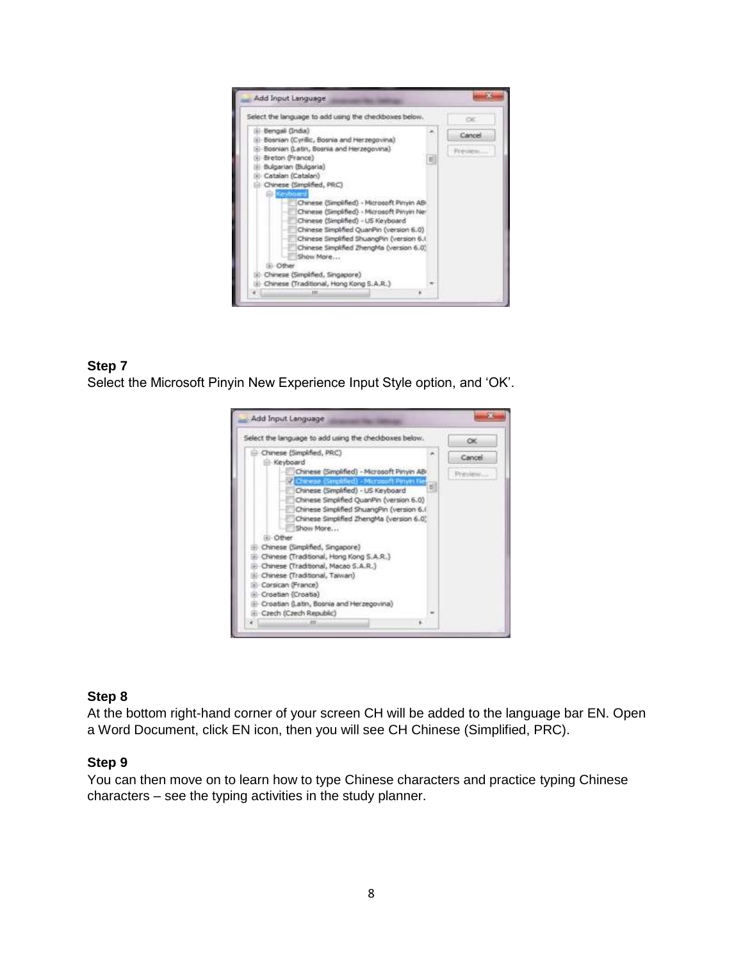

Select the Microsoft Pinyin New Experience Input Style option, and 'OK'.



## **Step 8**

At the bottom right-hand corner of your screen CH will be added to the language bar EN. Open a Word Document, click EN icon, then you will see CH Chinese (Simplified, PRC).

#### **Step 9**

You can then move on to learn how to type Chinese characters and practice typing Chinese characters – see the typing activities in the study planner.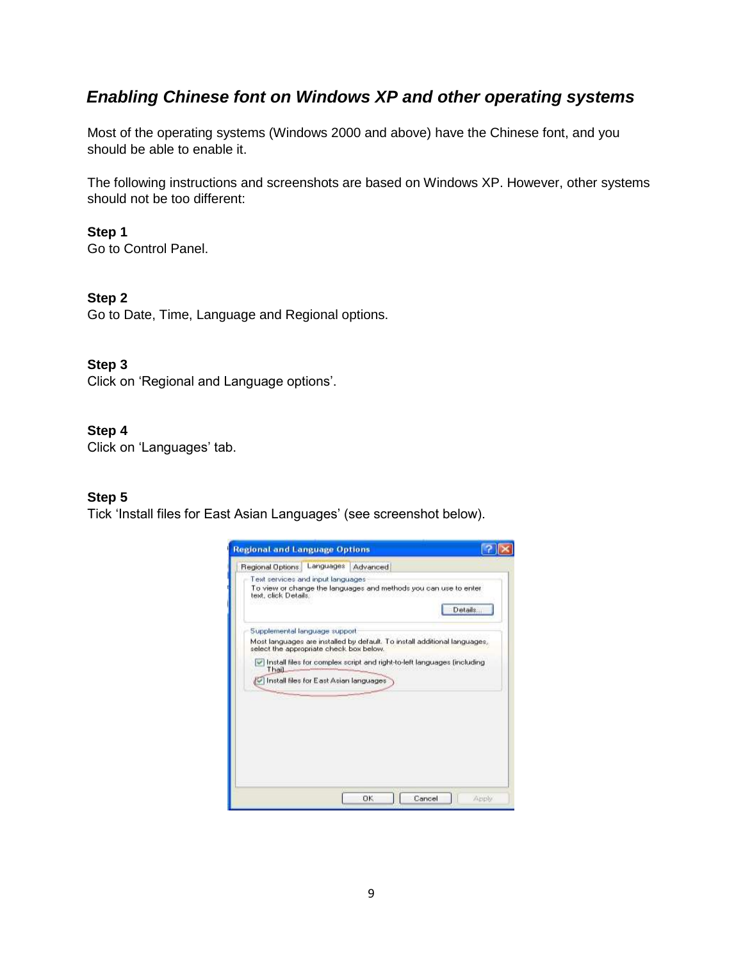# *Enabling Chinese font on Windows XP and other operating systems*

Most of the operating systems (Windows 2000 and above) have the Chinese font, and you should be able to enable it.

The following instructions and screenshots are based on Windows XP. However, other systems should not be too different:

### **Step 1**

Go to Control Panel.

## **Step 2**

Go to Date, Time, Language and Regional options.

## **Step 3**

Click on 'Regional and Language options'.

## **Step 4**

Click on 'Languages' tab.

#### **Step 5**

Tick 'Install files for East Asian Languages' (see screenshot below).

| <b>Regional and Language Options</b>                      |                                                                              |
|-----------------------------------------------------------|------------------------------------------------------------------------------|
| Languages<br>Regional Options                             | Advanced                                                                     |
| Text services and input languages<br>text, click Details. | To view or change the languages and methods you can use to enter<br>Details. |
| Supplemental language support                             |                                                                              |
| select the appropriate check box below.                   | Most languages are installed by default. To install additional languages,    |
| Thail                                                     | Iv Install files for complex script and right-to-left languages (including   |
| [9] Install files for East Asian languages                |                                                                              |
|                                                           |                                                                              |
|                                                           | Cancel<br><b>OK</b><br>Apply                                                 |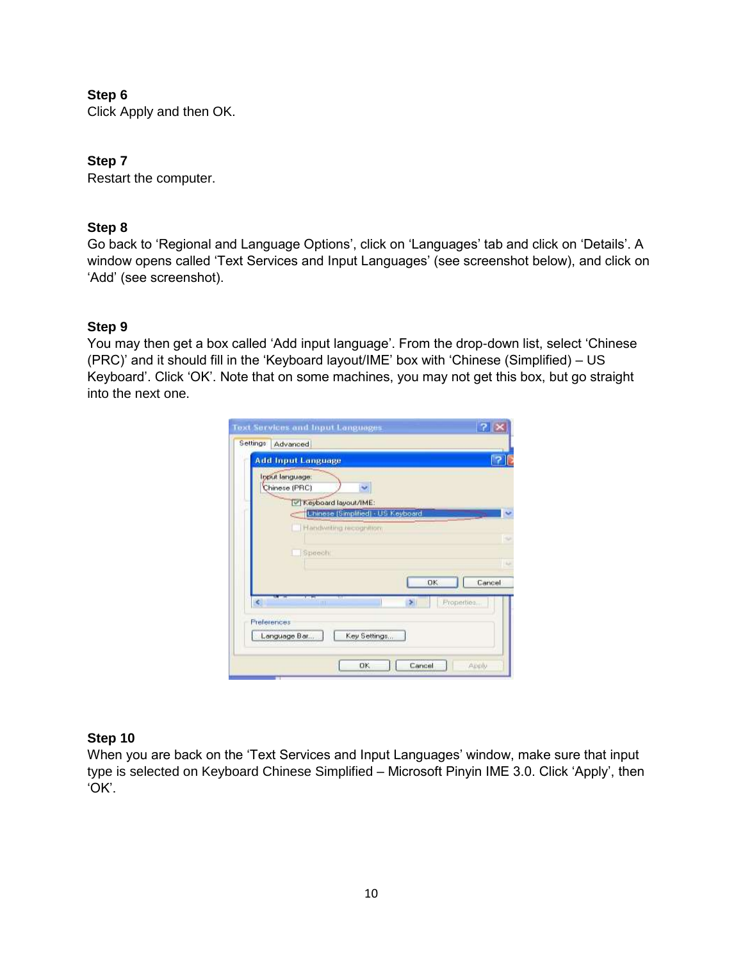Click Apply and then OK.

### **Step 7**

Restart the computer.

### **Step 8**

Go back to 'Regional and Language Options', click on 'Languages' tab and click on 'Details'. A window opens called 'Text Services and Input Languages' (see screenshot below), and click on 'Add' (see screenshot).

## **Step 9**

You may then get a box called 'Add input language'. From the drop-down list, select 'Chinese (PRC)' and it should fill in the 'Keyboard layout/IME' box with 'Chinese (Simplified) – US Keyboard'. Click 'OK'. Note that on some machines, you may not get this box, but go straight into the next one.

|        | Input language:<br>Chinese (PRC) |                                                                |     |            |
|--------|----------------------------------|----------------------------------------------------------------|-----|------------|
|        | Reyboard layout/IME:             |                                                                |     |            |
|        |                                  | Uhinese (Simplified) - US Keyboard<br>Handwriting recognition. |     |            |
|        | Speech                           |                                                                |     |            |
|        |                                  |                                                                |     |            |
|        |                                  |                                                                | OK. | Cancel     |
| $\leq$ | <b>JIII</b>                      |                                                                | ×   | Properties |
|        |                                  |                                                                |     |            |

#### **Step 10**

When you are back on the 'Text Services and Input Languages' window, make sure that input type is selected on Keyboard Chinese Simplified – Microsoft Pinyin IME 3.0. Click 'Apply', then 'OK'.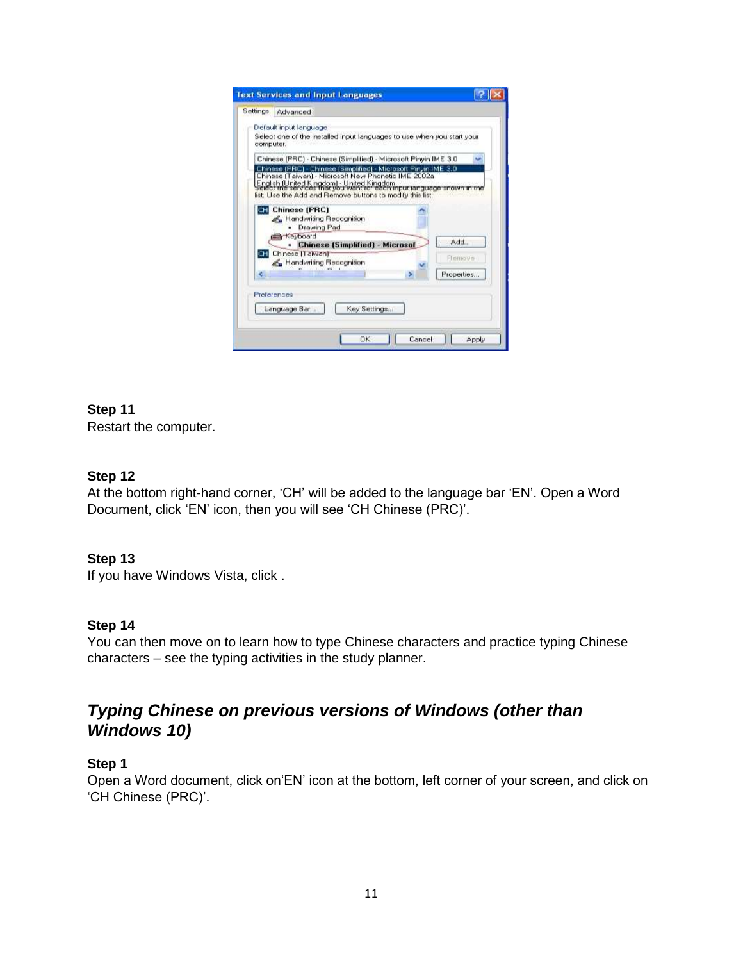|                                        | Select one of the installed input languages to use when you start your |                                                                                                                                                                                                                                                                                                                                                                      |
|----------------------------------------|------------------------------------------------------------------------|----------------------------------------------------------------------------------------------------------------------------------------------------------------------------------------------------------------------------------------------------------------------------------------------------------------------------------------------------------------------|
|                                        |                                                                        |                                                                                                                                                                                                                                                                                                                                                                      |
|                                        | Chinese [PRC] - Chinese [Simplified] - Microsoft Pinyin IME 3.0        |                                                                                                                                                                                                                                                                                                                                                                      |
|                                        |                                                                        |                                                                                                                                                                                                                                                                                                                                                                      |
| Handwriting Recognition<br>Drawing Pad |                                                                        |                                                                                                                                                                                                                                                                                                                                                                      |
|                                        |                                                                        | Add                                                                                                                                                                                                                                                                                                                                                                  |
| Handwriting Recognition                |                                                                        | <b>Flemove</b>                                                                                                                                                                                                                                                                                                                                                       |
|                                        |                                                                        | Properties                                                                                                                                                                                                                                                                                                                                                           |
|                                        |                                                                        |                                                                                                                                                                                                                                                                                                                                                                      |
|                                        |                                                                        |                                                                                                                                                                                                                                                                                                                                                                      |
|                                        |                                                                        | Chinese (PRC) - Chinese (Simplified) - Microsoft Pinvin IME 3.0<br>Chinese (Taiwan) - Microsoft New Phonetic IME 2002a<br>English (United Kingdom) - United Kingdom<br>select the services that you want for each input language snown in the<br>list. Use the Add and Remove buttons to modify this list.<br><b>Chinese [Simplified] - Microsof</b><br>Key Settings |

Restart the computer.

## **Step 12**

At the bottom right-hand corner, 'CH' will be added to the language bar 'EN'. Open a Word Document, click 'EN' icon, then you will see 'CH Chinese (PRC)'.

#### **Step 13**

If you have Windows Vista, click [.](http://www.pinyinjoe.com/vista/vista_chinese_fonts.htm)

#### **Step 14**

You can then move on to learn how to type Chinese characters and practice typing Chinese characters – see the typing activities in the study planner.

# *Typing Chinese on previous versions of Windows (other than Windows 10)*

#### **Step 1**

Open a Word document, click on'EN' icon at the bottom, left corner of your screen, and click on 'CH Chinese (PRC)'.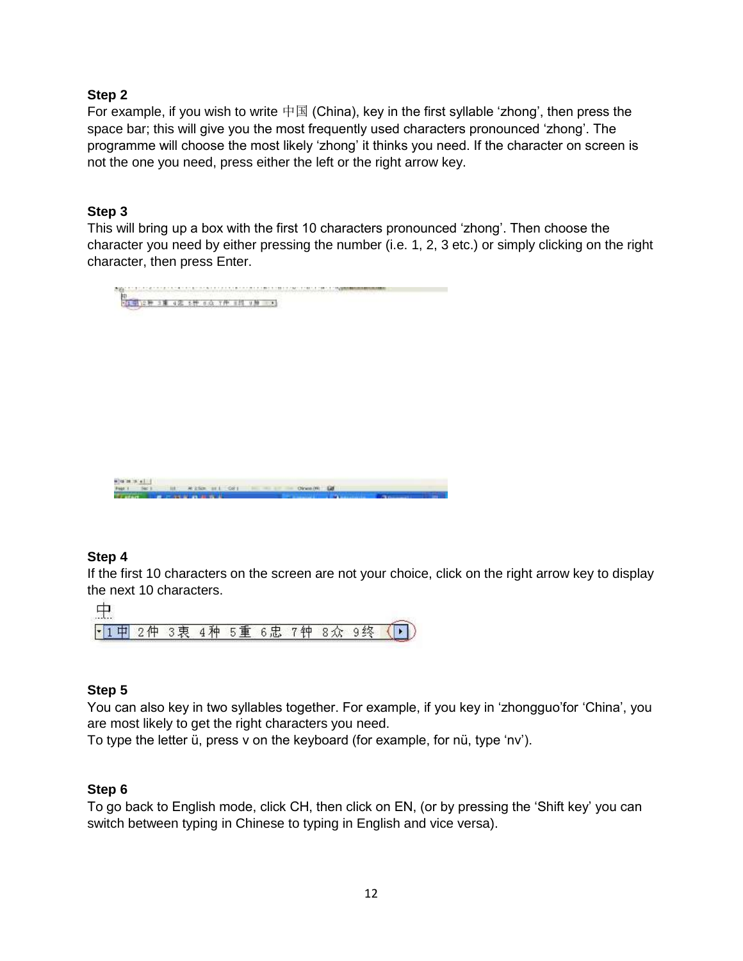For example, if you wish to write  $\dagger \boxtimes$  (China), key in the first syllable 'zhong', then press the space bar; this will give you the most frequently used characters pronounced 'zhong'. The programme will choose the most likely 'zhong' it thinks you need. If the character on screen is not the one you need, press either the left or the right arrow key.

## **Step 3**

This will bring up a box with the first 10 characters pronounced 'zhong'. Then choose the character you need by either pressing the number (i.e. 1, 2, 3 etc.) or simply clicking on the right character, then press Enter.



## **Step 4**

If the first 10 characters on the screen are not your choice, click on the right arrow key to display the next 10 characters.

|  | マ車 | 4 7 P | $-5$ 更 $-$ | $\epsilon$ $\mp$ | 了车中 | -1 C |  |
|--|----|-------|------------|------------------|-----|------|--|

# **Step 5**

You can also key in two syllables together. For example, if you key in 'zhongguo'for 'China', you are most likely to get the right characters you need.

To type the letter ü, press v on the keyboard (for example, for nü, type 'nv').

## **Step 6**

To go back to English mode, click CH, then click on EN, (or by pressing the 'Shift key' you can switch between typing in Chinese to typing in English and vice versa).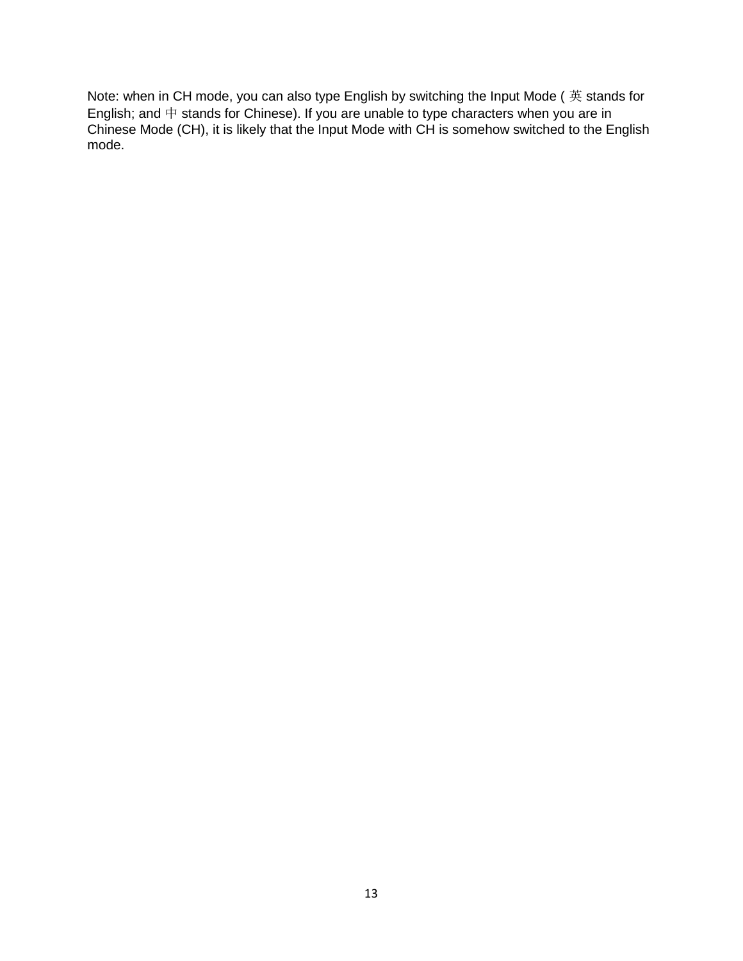Note: when in CH mode, you can also type English by switching the Input Mode ( 英 stands for English; and  $\dagger$  stands for Chinese). If you are unable to type characters when you are in Chinese Mode (CH), it is likely that the Input Mode with CH is somehow switched to the English mode.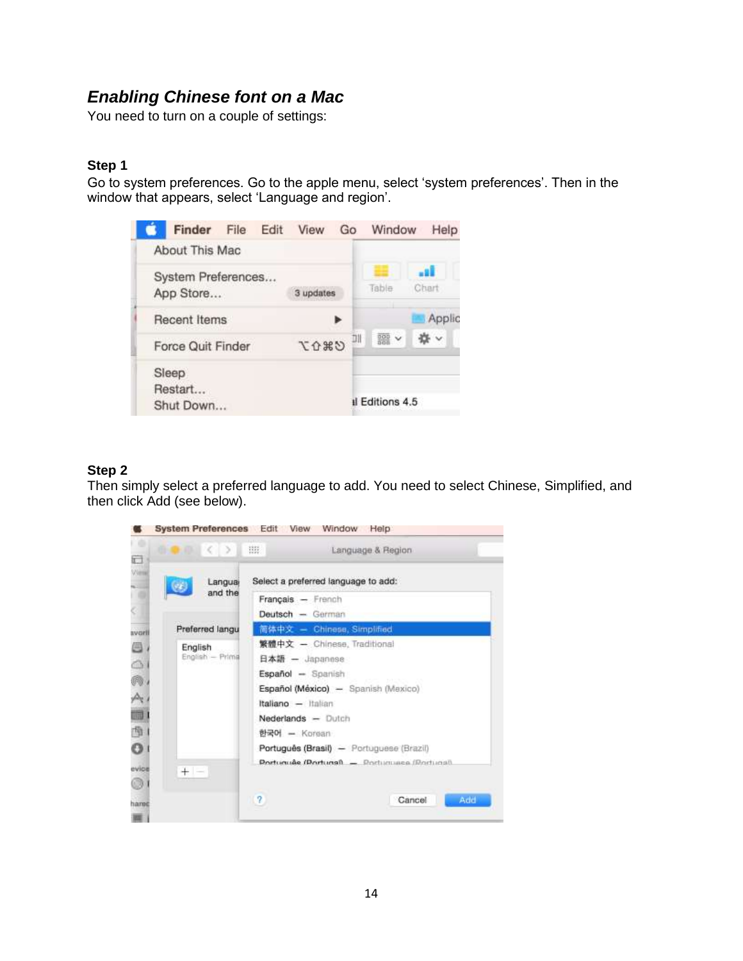# *Enabling Chinese font on a Mac*

You need to turn on a couple of settings:

### **Step 1**

Go to system preferences. Go to the apple menu, select 'system preferences'. Then in the window that appears, select 'Language and region'.



#### **Step 2**

Then simply select a preferred language to add. You need to select Chinese, Simplified, and then click Add (see below).

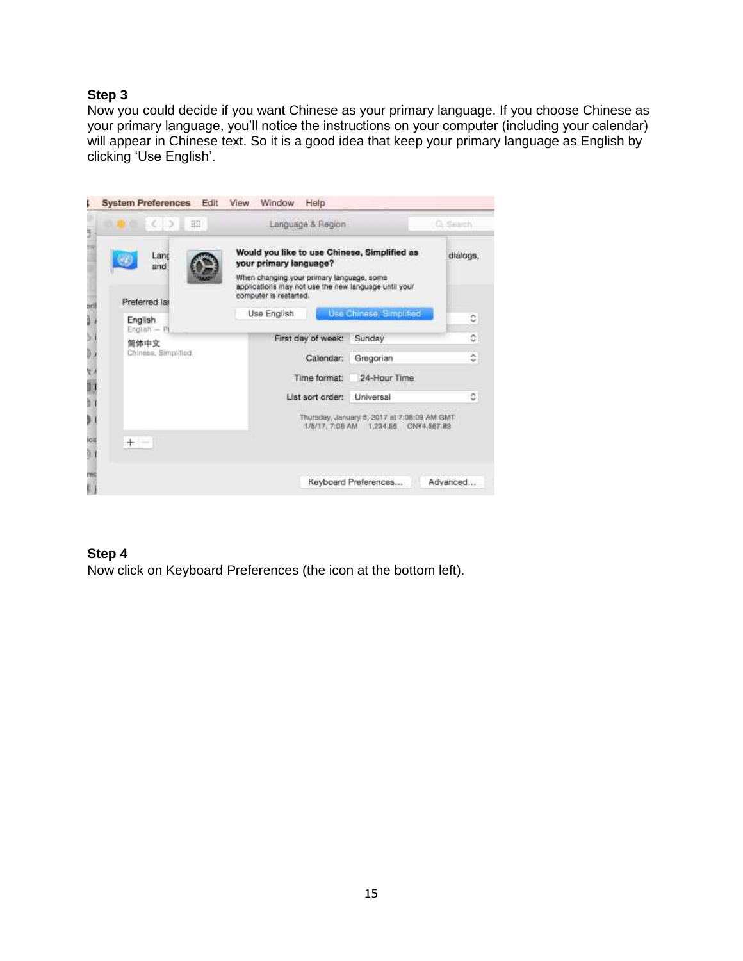Now you could decide if you want Chinese as your primary language. If you choose Chinese as your primary language, you'll notice the instructions on your computer (including your calendar) will appear in Chinese text. So it is a good idea that keep your primary language as English by clicking 'Use English'.



#### **Step 4**

Now click on Keyboard Preferences (the icon at the bottom left).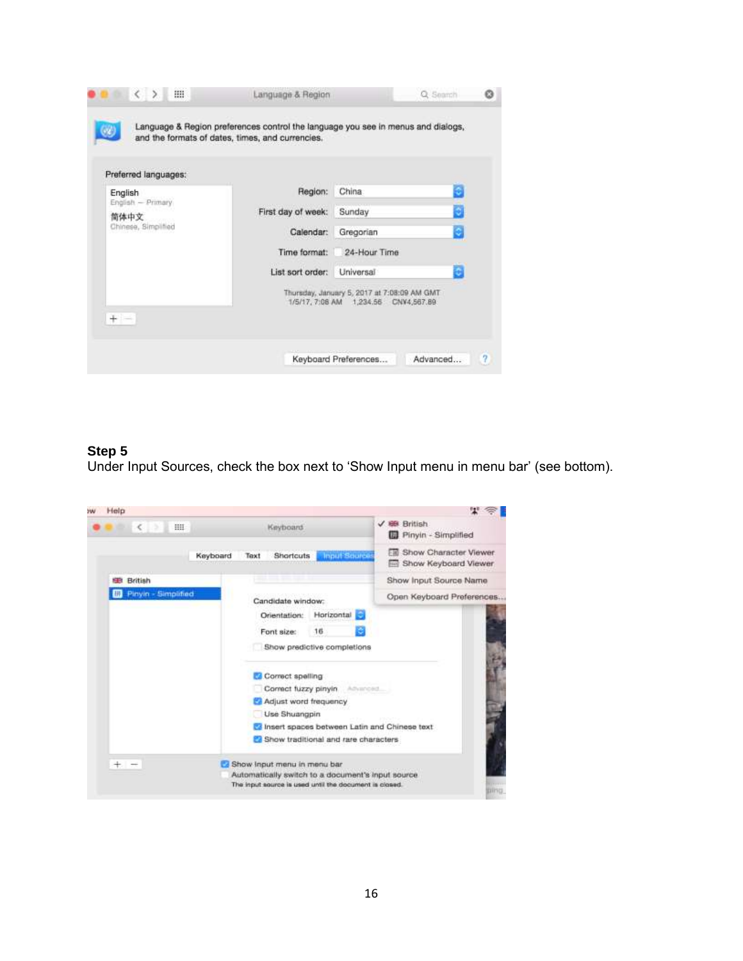| Preferred languages:                             |                    |                                                                                       |
|--------------------------------------------------|--------------------|---------------------------------------------------------------------------------------|
| English                                          | Region:            | e<br>China                                                                            |
| English - Primary<br>简体中文<br>Chinese, Simplified | First day of week: | Ð<br>Sunday                                                                           |
|                                                  | Calendar:          | Gregorian                                                                             |
|                                                  | Time format:       | 24-Hour Time                                                                          |
|                                                  | List sort order:   | ō<br>Universal                                                                        |
|                                                  |                    | Thursday, January 5, 2017 at 7:08:09 AM GMT<br>1/5/17, 7:08 AM  1,234.56  CNV4,567.89 |

Under Input Sources, check the box next to 'Show Input menu in menu bar' (see bottom).

| Help                        |                                                        |                                                         |
|-----------------------------|--------------------------------------------------------|---------------------------------------------------------|
| HH.<br>×                    | Keyboard                                               | √ 69 British<br><b>B</b> Pinyin - Simplified            |
| Keyboard<br><b>OCCOUNTS</b> | <b>Input Source</b><br>Shortcuts<br>Taxt               | <b>El Show Character Viewer</b><br>Show Keyboard Viewer |
| British<br>æ                |                                                        | Show Input Source Name                                  |
| Pinyin - Simplified         | Candidate window:                                      | Open Keyboard Preferences                               |
|                             | Horizontal<br>Orientation:                             |                                                         |
|                             | 16<br>Font size:                                       |                                                         |
|                             | Show predictive completions                            |                                                         |
|                             | Correct spelling                                       |                                                         |
|                             | Correct fuzzy pinyin<br>Advanced                       |                                                         |
|                             | Adjust word frequency                                  |                                                         |
|                             | Use Shuangpin                                          |                                                         |
|                             | Insert spaces between Latin and Chinese text           |                                                         |
|                             | Show traditional and rare characters                   |                                                         |
| ÷                           | Show Input menu in menu bar                            |                                                         |
|                             | Automatically switch to a document's input source.     |                                                         |
|                             | The input source is used until the document is closed. | ping                                                    |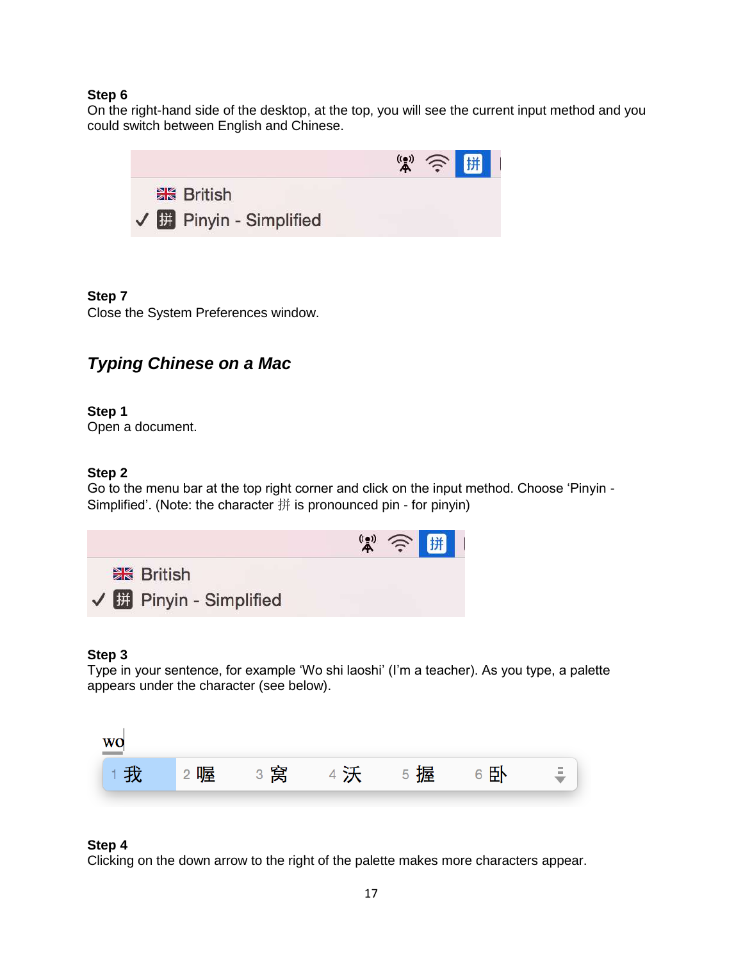On the right-hand side of the desktop, at the top, you will see the current input method and you could switch between English and Chinese.



#### **Step 7**

Close the System Preferences window.

# *Typing Chinese on a Mac*

#### **Step 1**

Open a document.

#### **Step 2**

Go to the menu bar at the top right corner and click on the input method. Choose 'Pinyin - Simplified'. (Note: the character 拼 is pronounced pin - for pinyin)



#### **Step 3**

Type in your sentence, for example 'Wo shi laoshi' (I'm a teacher). As you type, a palette appears under the character (see below).



#### **Step 4**

Clicking on the down arrow to the right of the palette makes more characters appear.